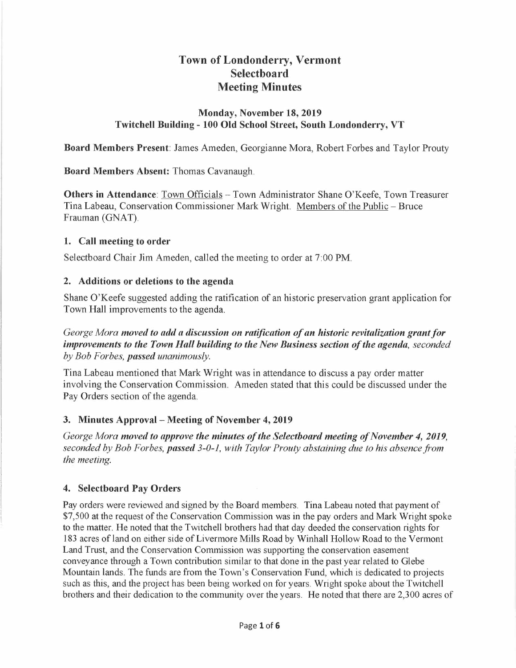# **Town of Londonderry, Vermont Selectboard Meeting Minutes**

### **Monday, November 18, 2019 Twitchell Building - 100 Old School Street, South Londonderry, VT**

**Board Members Present:** James Ameden, Georgianne Mora, Robert Forbes and Taylor Prouty

**Board Members Absent:** Thomas Cavanaugh.

**Others in Attendance**: Town Officials – Town Administrator Shane O'Keefe, Town Treasurer Tina Labeau, Conservation Commissioner Mark Wright. Members of the Public - Bruce Frauman (GNAT).

### **1. Call meeting to order**

Selectboard Chair Jim Ameden, called the meeting to order at 7:00 PM.

### **2. Additions or deletions to the agenda**

Shane O'Keefe suggested adding the ratification of an historic preservation grant application for Town Hall improvements to the agenda.

# *George Mora moved to add a discussion on ratification of an historic revitalization grant for improvements to the Town Hall building to the New Business section of the agenda, seconded by Bob For bes, passed unanimously.*

Tina Labeau mentioned that Mark Wright was in attendance to discuss a pay order matter involving the Conservation Commission. Ameden stated that this could be discussed under the Pay Orders section of the agenda.

# **3. Minutes Approval - Meeting of November 4, 2019**

*George Mora moved to approve the minutes of the Selectboard meeting of November 4, 2019, seconded by Bob Forbes, passed 3-0-1, with Taylor Prouty abstaining due to his absence from the meeting.* 

# **4. Selectboard Pay Orders**

Pay orders were reviewed and signed by the Board members. Tina Labeau noted that payment of \$7,500 at the request of the Conservation Commission was in the pay orders and Mark Wright spoke to the matter. He noted that the Twitchell brothers had that day deeded the conservation rights for 183 acres of land on either side of Livermore Mills Road by Winhall Hollow Road to the Vermont Land Trust, and the Conservation Commission was supporting the conservation easement conveyance through a Town contribution similar to that done in the past year related to Glebe Mountain lands. The funds are from the Town's Conservation Fund, which is dedicated to projects such as this, and the project has been being worked on for years. Wright spoke about the Twitchell brothers and their dedication to the community over the years. He noted that there are 2,300 acres of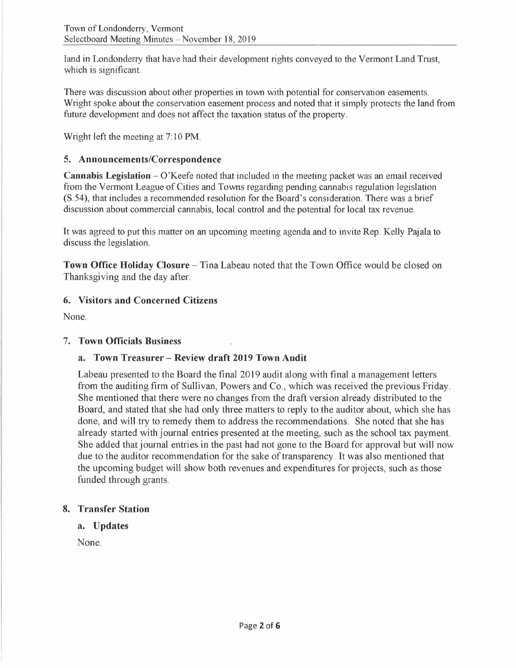land in Londonderry that have had their development rights conveyed to the Vermont Land Trust, which is significant.

There was discussion about other properties in town with potential for conservation easements. Wright spoke about the conservation easement process and noted that it simply protects the land from future development and does not affect the taxation status of the property.

Wright left the meeting at 7: 10 **PM.** 

# **5. Announcements/Correspondence**

**Cannabis Legislation – O'Keefe noted that included in the meeting packet was an email received** from the Vermont League of Cities and Towns regarding pending cannabis regulation legislation (S.54), that includes a recommended resolution for the Board's consideration. There was a brief discussion about commercial cannabis, local control and the potential for local tax revenue.

It was agreed to put this matter on an upcoming meeting agenda and to invite Rep. Kelly Pajala to discuss the legislation.

**Town Office Holiday Closure -** Tina Labeau noted that the Town Office would be closed on Thanksgiving and the day after.

# **6. Visitors and Concerned Citizens**

None.

# 7. **Town Officials Business**

# **a. Town Treasurer - Review draft 2019 Town Audit**

Labeau presented to the Board the final 2019 audit along with final a management letters from the auditing firm of Sullivan, Powers and Co., which was received the previous Friday. She mentioned that there were no changes from the draft version already distributed to the Board, and stated that she had only three matters to reply to the auditor about, which she has done, and will try to remedy them to address the recommendations. She noted that she has already started with journal entries presented at the meeting, such as the school tax payment. She added that journal entries in the past had not gone to the Board for approval but will now due to the auditor recommendation for the sake of transparency. It was also mentioned that the upcoming budget will show both revenues and expenditures for projects, such as those funded through grants.

# **8. Transfer Station**

### **a. Updates**

None.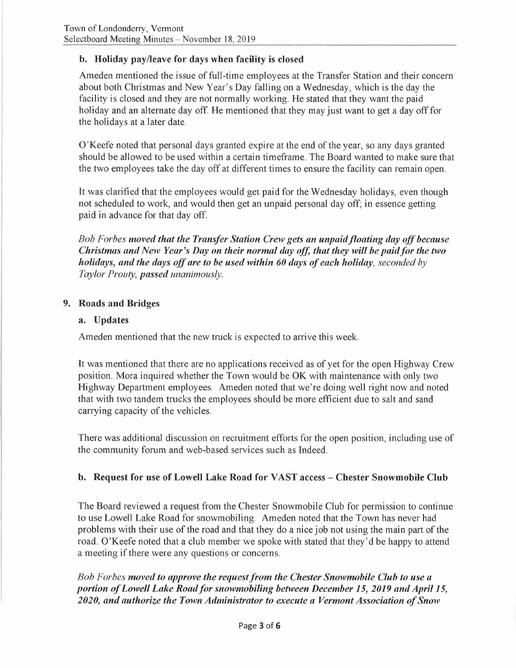# **b. Holiday pay/leave for days when facility is closed**

Ameden mentioned the issue of full-time employees at the Transfer Station and their concern about both Christmas and New Year's Day falling on a Wednesday, which is the day the facility is closed and they are not normally working. He stated that they want the paid holiday and an alternate day off. He mentioned that they may just want to get a day off for the holidays at a later date.

O'Keefe noted that personal days granted expire at the end of the year, so any days granted should be allowed to be used within a certain timeframe. The Board wanted to make sure that the two employees take the day off at different times to ensure the facility can remain open.

It was clarified that the employees would get paid for the Wednesday holidays, even though not scheduled to work, and would then get an unpaid personal day off; in essence getting paid in advance for that day off.

*Bob Forbes moved that the Transfer Station Crew gets an unpaid floating day off because Christmas and New Year's Day on their normal day off, that they will be paid for the two holidays, and the days off are to be used within 60 days of each holiday, seconded by Taylor Prouty, passed unanimously.* 

# **9. Roads and Bridges**

# **a. Updates**

Ameden mentioned that the new truck is expected to arrive this week.

It was mentioned that there are no applications received as of yet for the open Highway Crew position. Mora inquired whether the Town would be OK with maintenance with only two Highway Department employees. Ameden noted that we're doing well right now and noted that with two tandem trucks the employees should be more efficient due to salt and sand carrying capacity of the vehicles.

There was additional discussion on recruitment efforts for the open position, including use of the community forum and web-based services such as Indeed.

# **b. Request for use of Lowell Lake Road for VAST access - Chester Snowmobile Club**

The Board reviewed a request from the Chester Snowmobile Club for permission to continue to use Lowell Lake Road for snowmobiling. Ameden noted that the Town has never had problems with their use of the road and that they do a nice job not using the main part of the road. O'Keefe noted that a club member we spoke with stated that they'd be happy to attend a meeting if there were any questions or concerns.

*Bob For bes moved to approve the request from the Chester Snowmobile Club to use a*  portion of Lowell Lake Road for snowmobiling between December 15, 2019 and April 15, *2020, and authorize the Town Administrator to execute a Vermont Association of Snow*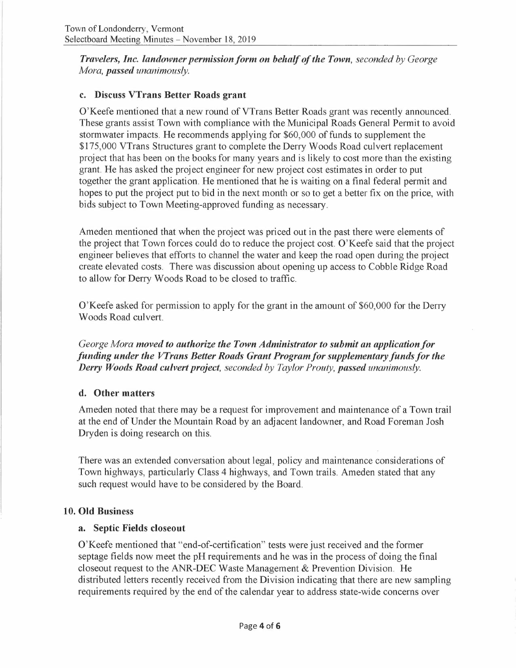*Travelers, Inc. landowner permission form on behalf of the Town, seconded by George Mora, passed unanimously.* 

# **c. Discuss VTrans Better Roads grant**

O'Keefe mentioned that a new round of VTrans Better Roads grant was recently announced. These grants assist Town with compliance with the Municipal Roads General Permit to avoid stormwater impacts. He recommends applying for \$60,000 of funds to supplement the \$175,000 VTrans Structures grant to complete the Derry Woods Road culvert replacement project that has been on the books for many years and is likely to cost more than the existing grant. He has asked the project engineer for new project cost estimates in order to put together the grant application. He mentioned that he is waiting on a final federal permit and hopes to put the project put to bid in the next month or so to get a better fix on the price, with bids subject to Town Meeting-approved funding as necessary.

Ameden mentioned that when the project was priced out in the past there were elements of the project that Town forces could do to reduce the project cost. O'Keefe said that the project engineer believes that efforts to channel the water and keep the road open during the project create elevated costs. There was discussion about opening up access to Cobble Ridge Road to allow for Derry Woods Road to be closed to traffic.

O'Keefe asked for permission to apply for the grant in the amount of \$60,000 for the Derry Woods Road culvert.

*George Mora moved to authorize the Town Administrator to submit an application for funding under the VTrans Better Roads Grant Program for supplementary funds for the Derry Woods Road culvert project, seconded by Taylor Prouty, passed unanimously.* 

### **d. Other matters**

Ameden noted that there may be a request for improvement and maintenance of a Town trail at the end of Under the Mountain Road by an adjacent landowner, and Road Foreman Josh Dryden is doing research on this.

There was an extended conversation about legal, policy and maintenance considerations of Town highways, particularly Class 4 highways, and Town trails. Ameden stated that any such request would have to be considered by the Board.

### **10. Old Business**

### **a. Septic Fields closeout**

O'Keefe mentioned that "end-of-certification" tests were just received and the former septage fields now meet the pH requirements and he was in the process of doing the final closeout request to the ANR-DEC Waste Management & Prevention Division. He distributed letters recently received from the Division indicating that there are new sampling requirements required by the end of the calendar year to address state-wide concerns over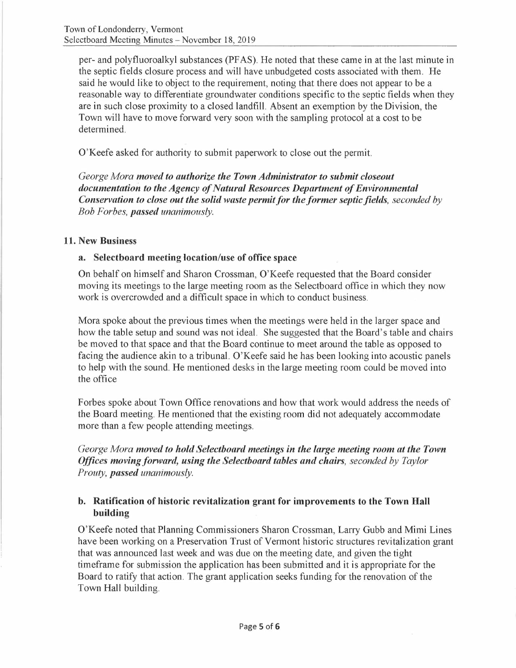per- and polyfluoroalkyl substances (PF AS). He noted that these came in at the last minute in the septic fields closure process and will have unbudgeted costs associated with them. He said he would like to object to the requirement, noting that there does not appear to be a reasonable way to differentiate groundwater conditions specific to the septic fields when they are in such close proximity to a closed landfill. Absent an exemption by the Division, the Town will have to move forward very soon with the sampling protocol at a cost to be determined.

O'Keefe asked for authority to submit paperwork to close out the permit.

*George Mora moved to authorize the Town Administrator to submit closeout documentation to the Agency of Natural Resources Department of Environmental Conservation to close out the solid waste permit for the former septic fields, seconded by Bob Forbes, passed unanimously.* 

# **11. New Business**

# **a. Selectboard meeting location/use of office space**

On behalf on himself and Sharon Crossman, O'Keefe requested that the Board consider moving its meetings to the large meeting room as the Selectboard office in which they now work is overcrowded and a difficult space in which to conduct business.

Mora spoke about the previous times when the meetings were held in the larger space and how the table setup and sound was not ideal. She suggested that the Board's table and chairs be moved to that space and that the Board continue to meet around the table as opposed to facing the audience akin to a tribunal. O'Keefe said he has been looking into acoustic panels to help with the sound. He mentioned desks in the large meeting room could be moved into the office

Forbes spoke about Town Office renovations and how that work would address the needs of the Board meeting. He mentioned that the existing room did not adequately accommodate more than a few people attending meetings.

*George Mora moved to hold Selectboard meetings in the large meeting room at the Town Offices moving forward, using the Selectboard tables and chairs, seconded by Taylor Prouty, passed unanimously.* 

# **b. Ratification of historic revitalization grant for improvements to the Town Hall building**

O'Keefe noted that Planning Commissioners Sharon Crossman, Larry Gubb and Mimi Lines have been working on a Preservation Trust of Vermont historic structures revitalization grant that was announced last week and was due on the meeting date, and given the tight timeframe for submission the application has been submitted and it is appropriate for the Board to ratify that action. The grant application seeks funding for the renovation of the Town Hall building.